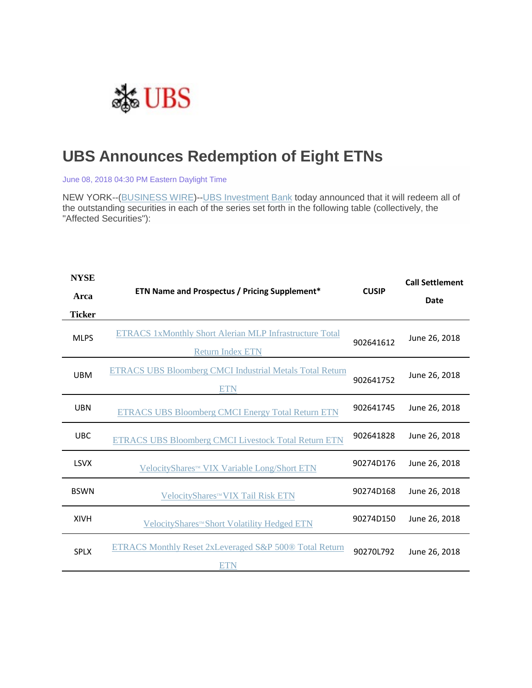

## **UBS Announces Redemption of Eight ETNs**

June 08, 2018 04:30 PM Eastern Daylight Time

NEW YORK--[\(BUSINESS WIRE\)](https://www.businesswire.com/)-[-UBS Investment Bank](http://cts.businesswire.com/ct/CT?id=smartlink&url=http%3A%2F%2Fwww.ubs.com%2Fglobal%2Fen%2Finvestment-bank.html&esheet=51819785&newsitemid=20180608005710&lan=en-US&anchor=UBS+Investment+Bank&index=1&md5=be219fd452c61cd3ac346148945cf0b2) today announced that it will redeem all of the outstanding securities in each of the series set forth in the following table (collectively, the "Affected Securities"):

| <b>NYSE</b>   | ETN Name and Prospectus / Pricing Supplement*                                             | <b>CUSIP</b> | <b>Call Settlement</b> |
|---------------|-------------------------------------------------------------------------------------------|--------------|------------------------|
| Arca          |                                                                                           |              | <b>Date</b>            |
| <b>Ticker</b> |                                                                                           |              |                        |
| <b>MLPS</b>   | <b>ETRACS 1xMonthly Short Alerian MLP Infrastructure Total</b><br><b>Return Index ETN</b> | 902641612    | June 26, 2018          |
| <b>UBM</b>    | <b>ETRACS UBS Bloomberg CMCI Industrial Metals Total Return</b><br><b>ETN</b>             | 902641752    | June 26, 2018          |
| <b>UBN</b>    | <b>ETRACS UBS Bloomberg CMCI Energy Total Return ETN</b>                                  | 902641745    | June 26, 2018          |
| <b>UBC</b>    | <b>ETRACS UBS Bloomberg CMCI Livestock Total Return ETN</b>                               | 902641828    | June 26, 2018          |
| <b>LSVX</b>   | VelocityShares™ VIX Variable Long/Short ETN                                               | 90274D176    | June 26, 2018          |
| <b>BSWN</b>   | VelocityShares™ VIX Tail Risk ETN                                                         | 90274D168    | June 26, 2018          |
| <b>XIVH</b>   | VelocityShares™Short Volatility Hedged ETN                                                | 90274D150    | June 26, 2018          |
| <b>SPLX</b>   | <b>ETRACS Monthly Reset 2xLeveraged S&amp;P 500® Total Return</b><br>ETN                  | 90270L792    | June 26, 2018          |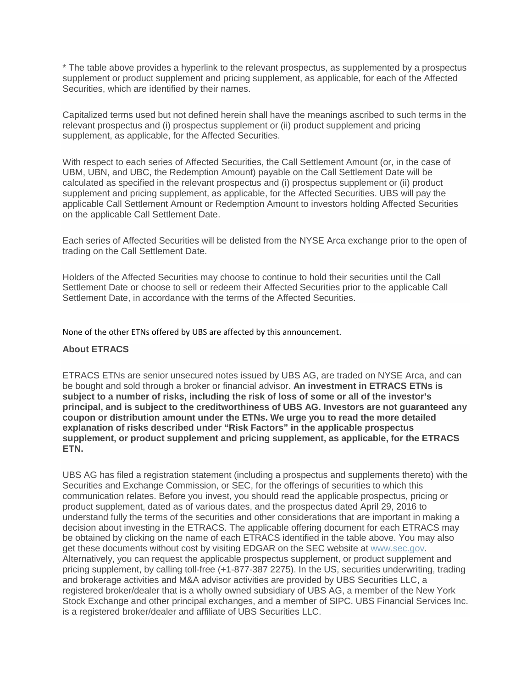\* The table above provides a hyperlink to the relevant prospectus, as supplemented by a prospectus supplement or product supplement and pricing supplement, as applicable, for each of the Affected Securities, which are identified by their names.

Capitalized terms used but not defined herein shall have the meanings ascribed to such terms in the relevant prospectus and (i) prospectus supplement or (ii) product supplement and pricing supplement, as applicable, for the Affected Securities.

With respect to each series of Affected Securities, the Call Settlement Amount (or, in the case of UBM, UBN, and UBC, the Redemption Amount) payable on the Call Settlement Date will be calculated as specified in the relevant prospectus and (i) prospectus supplement or (ii) product supplement and pricing supplement, as applicable, for the Affected Securities. UBS will pay the applicable Call Settlement Amount or Redemption Amount to investors holding Affected Securities on the applicable Call Settlement Date.

Each series of Affected Securities will be delisted from the NYSE Arca exchange prior to the open of trading on the Call Settlement Date.

Holders of the Affected Securities may choose to continue to hold their securities until the Call Settlement Date or choose to sell or redeem their Affected Securities prior to the applicable Call Settlement Date, in accordance with the terms of the Affected Securities.

None of the other ETNs offered by UBS are affected by this announcement.

## **About ETRACS**

ETRACS ETNs are senior unsecured notes issued by UBS AG, are traded on NYSE Arca, and can be bought and sold through a broker or financial advisor. **An investment in ETRACS ETNs is subject to a number of risks, including the risk of loss of some or all of the investor's principal, and is subject to the creditworthiness of UBS AG. Investors are not guaranteed any coupon or distribution amount under the ETNs. We urge you to read the more detailed explanation of risks described under "Risk Factors" in the applicable prospectus supplement, or product supplement and pricing supplement, as applicable, for the ETRACS ETN.**

UBS AG has filed a registration statement (including a prospectus and supplements thereto) with the Securities and Exchange Commission, or SEC, for the offerings of securities to which this communication relates. Before you invest, you should read the applicable prospectus, pricing or product supplement, dated as of various dates, and the prospectus dated April 29, 2016 to understand fully the terms of the securities and other considerations that are important in making a decision about investing in the ETRACS. The applicable offering document for each ETRACS may be obtained by clicking on the name of each ETRACS identified in the table above. You may also get these documents without cost by visiting EDGAR on the SEC website at [www.sec.gov.](http://cts.businesswire.com/ct/CT?id=smartlink&url=http%3A%2F%2Fwww.sec.gov&esheet=51819785&newsitemid=20180608005710&lan=en-US&anchor=www.sec.gov&index=10&md5=60c3743feb1b5660589b5db5698d2176) Alternatively, you can request the applicable prospectus supplement, or product supplement and pricing supplement, by calling toll-free (+1-877-387 2275). In the US, securities underwriting, trading and brokerage activities and M&A advisor activities are provided by UBS Securities LLC, a registered broker/dealer that is a wholly owned subsidiary of UBS AG, a member of the New York Stock Exchange and other principal exchanges, and a member of SIPC. UBS Financial Services Inc. is a registered broker/dealer and affiliate of UBS Securities LLC.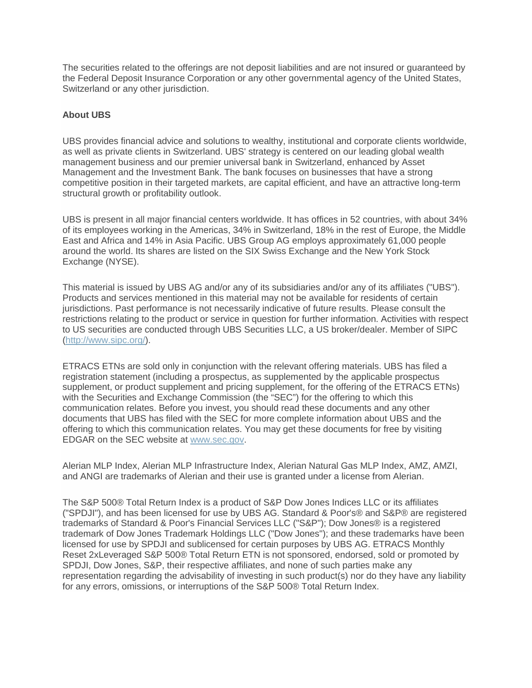The securities related to the offerings are not deposit liabilities and are not insured or guaranteed by the Federal Deposit Insurance Corporation or any other governmental agency of the United States, Switzerland or any other jurisdiction.

## **About UBS**

UBS provides financial advice and solutions to wealthy, institutional and corporate clients worldwide, as well as private clients in Switzerland. UBS' strategy is centered on our leading global wealth management business and our premier universal bank in Switzerland, enhanced by Asset Management and the Investment Bank. The bank focuses on businesses that have a strong competitive position in their targeted markets, are capital efficient, and have an attractive long-term structural growth or profitability outlook.

UBS is present in all major financial centers worldwide. It has offices in 52 countries, with about 34% of its employees working in the Americas, 34% in Switzerland, 18% in the rest of Europe, the Middle East and Africa and 14% in Asia Pacific. UBS Group AG employs approximately 61,000 people around the world. Its shares are listed on the SIX Swiss Exchange and the New York Stock Exchange (NYSE).

This material is issued by UBS AG and/or any of its subsidiaries and/or any of its affiliates ("UBS"). Products and services mentioned in this material may not be available for residents of certain jurisdictions. Past performance is not necessarily indicative of future results. Please consult the restrictions relating to the product or service in question for further information. Activities with respect to US securities are conducted through UBS Securities LLC, a US broker/dealer. Member of SIPC [\(http://www.sipc.org/\)](http://cts.businesswire.com/ct/CT?id=smartlink&url=http%3A%2F%2Fwww.sipc.org%2F&esheet=51819785&newsitemid=20180608005710&lan=en-US&anchor=http%3A%2F%2Fwww.sipc.org%2F&index=11&md5=1752bedc4aa8b9ec0f98dc4d21686950).

ETRACS ETNs are sold only in conjunction with the relevant offering materials. UBS has filed a registration statement (including a prospectus, as supplemented by the applicable prospectus supplement, or product supplement and pricing supplement, for the offering of the ETRACS ETNs) with the Securities and Exchange Commission (the "SEC") for the offering to which this communication relates. Before you invest, you should read these documents and any other documents that UBS has filed with the SEC for more complete information about UBS and the offering to which this communication relates. You may get these documents for free by visiting EDGAR on the SEC website at [www.sec.gov.](http://cts.businesswire.com/ct/CT?id=smartlink&url=http%3A%2F%2Fwww.sec.gov&esheet=51819785&newsitemid=20180608005710&lan=en-US&anchor=www.sec.gov&index=12&md5=81481d1ed3ca70b7237ba0eb0c3aa409)

Alerian MLP Index, Alerian MLP Infrastructure Index, Alerian Natural Gas MLP Index, AMZ, AMZI, and ANGI are trademarks of Alerian and their use is granted under a license from Alerian.

The S&P 500® Total Return Index is a product of S&P Dow Jones Indices LLC or its affiliates ("SPDJI"), and has been licensed for use by UBS AG. Standard & Poor's® and S&P® are registered trademarks of Standard & Poor's Financial Services LLC ("S&P"); Dow Jones® is a registered trademark of Dow Jones Trademark Holdings LLC ("Dow Jones"); and these trademarks have been licensed for use by SPDJI and sublicensed for certain purposes by UBS AG. ETRACS Monthly Reset 2xLeveraged S&P 500® Total Return ETN is not sponsored, endorsed, sold or promoted by SPDJI, Dow Jones, S&P, their respective affiliates, and none of such parties make any representation regarding the advisability of investing in such product(s) nor do they have any liability for any errors, omissions, or interruptions of the S&P 500® Total Return Index.